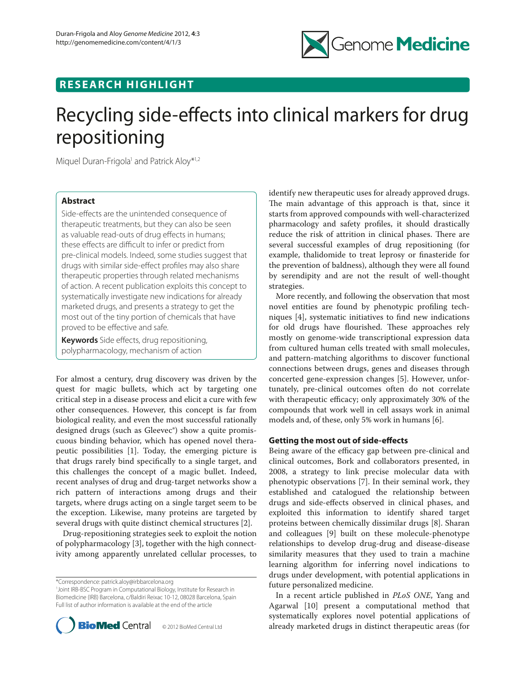

# **RESEARCH HIGHLIGHT**

# Recycling side-effects into clinical markers for drug repositioning

Miquel Duran-Frigola<sup>1</sup> and Patrick Aloy<sup>\*1,2</sup>

# **Abstract**

Side-effects are the unintended consequence of therapeutic treatments, but they can also be seen as valuable read-outs of drug effects in humans; these effects are difficult to infer or predict from pre-clinical models. Indeed, some studies suggest that drugs with similar side-effect profiles may also share therapeutic properties through related mechanisms of action. A recent publication exploits this concept to systematically investigate new indications for already marketed drugs, and presents a strategy to get the most out of the tiny portion of chemicals that have proved to be effective and safe.

**Keywords** Side effects, drug repositioning, polypharmacology, mechanism of action

For almost a century, drug discovery was driven by the quest for magic bullets, which act by targeting one critical step in a disease process and elicit a cure with few other consequences. However, this concept is far from biological reality, and even the most successful rationally designed drugs (such as Gleevec®) show a quite promiscuous binding behavior, which has opened novel therapeutic possibilities [1]. Today, the emerging picture is that drugs rarely bind specifically to a single target, and this challenges the concept of a magic bullet. Indeed, recent analyses of drug and drug-target networks show a rich pattern of interactions among drugs and their targets, where drugs acting on a single target seem to be the exception. Likewise, many proteins are targeted by several drugs with quite distinct chemical structures [2].

Drug-repositioning strategies seek to exploit the notion of polypharmacology [3], together with the high connectivity among apparently unrelated cellular processes, to

<sup>1</sup> Joint IRB-BSC Program in Computational Biology, Institute for Research in Biomedicine (IRB) Barcelona, c/Baldiri Reixac 10-12, 08028 Barcelona, Spain Full list of author information is available at the end of the article



identify new therapeutic uses for already approved drugs. The main advantage of this approach is that, since it starts from approved compounds with well-characterized pharmacology and safety profiles, it should drastically reduce the risk of attrition in clinical phases. There are several successful examples of drug repositioning (for example, thalidomide to treat leprosy or finasteride for the prevention of baldness), although they were all found by serendipity and are not the result of well-thought strategies.

More recently, and following the observation that most novel entities are found by phenotypic profiling techniques [4], systematic initiatives to find new indications for old drugs have flourished. These approaches rely mostly on genome-wide transcriptional expression data from cultured human cells treated with small molecules, and pattern-matching algorithms to discover functional connections between drugs, genes and diseases through concerted gene-expression changes [5]. However, unfortunately, pre-clinical outcomes often do not correlate with therapeutic efficacy; only approximately 30% of the compounds that work well in cell assays work in animal models and, of these, only 5% work in humans [6].

# **Getting the most out of side-effects**

Being aware of the efficacy gap between pre-clinical and clinical outcomes, Bork and collaborators presented, in 2008, a strategy to link precise molecular data with phenotypic observations [7]. In their seminal work, they established and catalogued the relationship between drugs and side-effects observed in clinical phases, and exploited this information to identify shared target proteins between chemically dissimilar drugs [8]. Sharan and colleagues [9] built on these molecule-phenotype relationships to develop drug-drug and disease-disease similarity measures that they used to train a machine learning algorithm for inferring novel indications to drugs under development, with potential applications in future personalized medicine.

In a recent article published in *PLoS ONE*, Yang and Agarwal [10] present a computational method that systematically explores novel potential applications of already marketed drugs in distinct therapeutic areas (for

<sup>\*</sup>Correspondence: patrick.aloy@irbbarcelona.org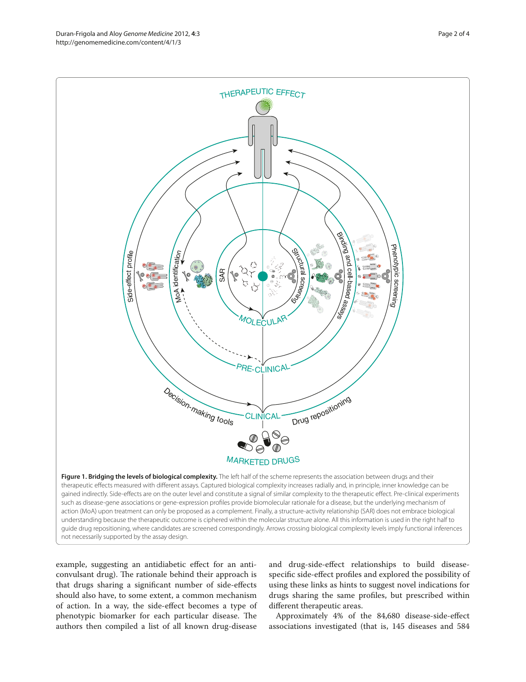

not necessarily supported by the assay design.

example, suggesting an antidiabetic effect for an anticonvulsant drug). The rationale behind their approach is that drugs sharing a significant number of side-effects should also have, to some extent, a common mechanism of action. In a way, the side-effect becomes a type of phenotypic biomarker for each particular disease. The authors then compiled a list of all known drug-disease and drug-side-effect relationships to build diseasespecific side-effect profiles and explored the possibility of using these links as hints to suggest novel indications for drugs sharing the same profiles, but prescribed within different therapeutic areas.

Approximately 4% of the 84,680 disease-side-effect associations investigated (that is, 145 diseases and 584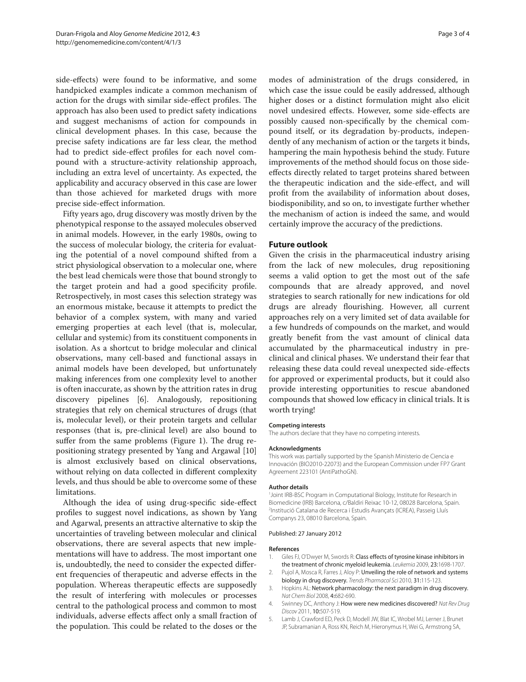side-effects) were found to be informative, and some handpicked examples indicate a common mechanism of action for the drugs with similar side-effect profiles. The approach has also been used to predict safety indications and suggest mechanisms of action for compounds in clinical development phases. In this case, because the precise safety indications are far less clear, the method had to predict side-effect profiles for each novel compound with a structure-activity relationship approach, including an extra level of uncertainty. As expected, the applicability and accuracy observed in this case are lower than those achieved for marketed drugs with more precise side-effect information.

Fifty years ago, drug discovery was mostly driven by the phenotypical response to the assayed molecules observed in animal models. However, in the early 1980s, owing to the success of molecular biology, the criteria for evaluating the potential of a novel compound shifted from a strict physiological observation to a molecular one, where the best lead chemicals were those that bound strongly to the target protein and had a good specificity profile. Retrospectively, in most cases this selection strategy was an enormous mistake, because it attempts to predict the behavior of a complex system, with many and varied emerging properties at each level (that is, molecular, cellular and systemic) from its constituent components in isolation. As a shortcut to bridge molecular and clinical observations, many cell-based and functional assays in animal models have been developed, but unfortunately making inferences from one complexity level to another is often inaccurate, as shown by the attrition rates in drug discovery pipelines [6]. Analogously, repositioning strategies that rely on chemical structures of drugs (that is, molecular level), or their protein targets and cellular responses (that is, pre-clinical level) are also bound to suffer from the same problems (Figure 1). The drug repositioning strategy presented by Yang and Argawal [10] is almost exclusively based on clinical observations, without relying on data collected in different complexity levels, and thus should be able to overcome some of these limitations.

Although the idea of using drug-specific side-effect profiles to suggest novel indications, as shown by Yang and Agarwal, presents an attractive alternative to skip the uncertainties of traveling between molecular and clinical observations, there are several aspects that new implementations will have to address. The most important one is, undoubtedly, the need to consider the expected different frequencies of therapeutic and adverse effects in the population. Whereas therapeutic effects are supposedly the result of interfering with molecules or processes central to the pathological process and common to most individuals, adverse effects affect only a small fraction of the population. This could be related to the doses or the modes of administration of the drugs considered, in which case the issue could be easily addressed, although higher doses or a distinct formulation might also elicit novel undesired effects. However, some side-effects are possibly caused non-specifically by the chemical compound itself, or its degradation by-products, independently of any mechanism of action or the targets it binds, hampering the main hypothesis behind the study. Future improvements of the method should focus on those sideeffects directly related to target proteins shared between the therapeutic indication and the side-effect, and will profit from the availability of information about doses, biodisponibility, and so on, to investigate further whether the mechanism of action is indeed the same, and would certainly improve the accuracy of the predictions.

### **Future outlook**

Given the crisis in the pharmaceutical industry arising from the lack of new molecules, drug repositioning seems a valid option to get the most out of the safe compounds that are already approved, and novel strategies to search rationally for new indications for old drugs are already flourishing. However, all current approaches rely on a very limited set of data available for a few hundreds of compounds on the market, and would greatly benefit from the vast amount of clinical data accumulated by the pharmaceutical industry in preclinical and clinical phases. We understand their fear that releasing these data could reveal unexpected side-effects for approved or experimental products, but it could also provide interesting opportunities to rescue abandoned compounds that showed low efficacy in clinical trials. It is worth trying!

#### **Competing interests**

The authors declare that they have no competing interests.

#### **Acknowledgments**

This work was partially supported by the Spanish Ministerio de Ciencia e Innovación (BIO2010-22073) and the European Commission under FP7 Grant Agreement 223101 (AntiPathoGN).

#### **Author details**

1 Joint IRB-BSC Program in Computational Biology, Institute for Research in Biomedicine (IRB) Barcelona, c/Baldiri Reixac 10-12, 08028 Barcelona, Spain. 2 Institució Catalana de Recerca i Estudis Avançats (ICREA), Passeig Lluís Companys 23, 08010 Barcelona, Spain.

#### Published: 27 January 2012

#### **References**

- 1. Giles FJ, O'Dwyer M, Swords R: Class effects of tyrosine kinase inhibitors in the treatment of chronic myeloid leukemia. *Leukemia* 2009, 23:1698-1707.
- 2. Pujol A, Mosca R, Farres J, Aloy P: Unveiling the role of network and systems biology in drug discovery. *Trends Pharmacol Sci* 2010, 31:115-123.
- 3. Hopkins AL: Network pharmacology: the next paradigm in drug discovery. *Nat Chem Biol* 2008, 4:682-690.
- 4. Swinney DC, Anthony J: How were new medicines discovered? *Nat Rev Drug Discov* 2011, 10:507-519.
- 5. Lamb J, Crawford ED, Peck D, Modell JW, Blat IC, Wrobel MJ, Lerner J, Brunet JP, Subramanian A, Ross KN, Reich M, Hieronymus H, Wei G, Armstrong SA,